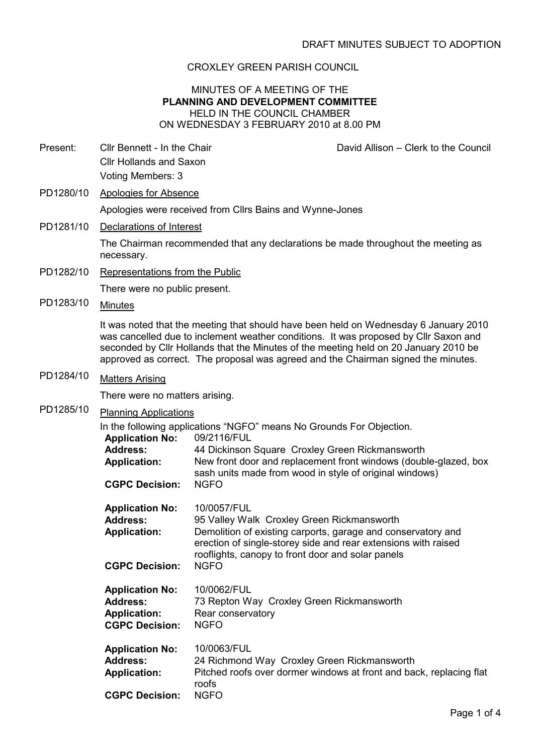#### CROXLEY GREEN PARISH COUNCIL

#### MINUTES OF A MEETING OF THE PLANNING AND DEVELOPMENT COMMITTEE HELD IN THE COUNCIL CHAMBER ON WEDNESDAY 3 FEBRUARY 2010 at 8.00 PM

Present: Cllr Bennett - In the Chair David Allison – Clerk to the Council

- Cllr Hollands and Saxon Voting Members: 3
- PD1280/10 Apologies for Absence

Apologies were received from Cllrs Bains and Wynne-Jones

PD1281/10 Declarations of Interest

The Chairman recommended that any declarations be made throughout the meeting as necessary.

PD1282/10 Representations from the Public

There were no public present.

PD1283/10 Minutes

It was noted that the meeting that should have been held on Wednesday 6 January 2010 was cancelled due to inclement weather conditions. It was proposed by Cllr Saxon and seconded by Cllr Hollands that the Minutes of the meeting held on 20 January 2010 be approved as correct. The proposal was agreed and the Chairman signed the minutes.

PD1284/10 Matters Arising

There were no matters arising.

PD1285/10 Planning Applications

| In the following applications "NGFO" means No Grounds For Objection.<br>09/2116/FUL<br><b>Application No:</b> |                                                                                                                                                                                                                                                                 |  |  |
|---------------------------------------------------------------------------------------------------------------|-----------------------------------------------------------------------------------------------------------------------------------------------------------------------------------------------------------------------------------------------------------------|--|--|
| <b>Address:</b><br><b>Application:</b>                                                                        | 44 Dickinson Square Croxley Green Rickmansworth<br>New front door and replacement front windows (double-glazed, box<br>sash units made from wood in style of original windows)                                                                                  |  |  |
| <b>CGPC Decision:</b>                                                                                         | <b>NGFO</b>                                                                                                                                                                                                                                                     |  |  |
| <b>Application No:</b><br><b>Address:</b><br><b>Application:</b><br><b>CGPC Decision:</b>                     | 10/0057/FUL<br>95 Valley Walk Croxley Green Rickmansworth<br>Demolition of existing carports, garage and conservatory and<br>erection of single-storey side and rear extensions with raised<br>rooflights, canopy to front door and solar panels<br><b>NGFO</b> |  |  |
| <b>Application No:</b><br><b>Address:</b><br><b>Application:</b><br><b>CGPC Decision:</b>                     | 10/0062/FUL<br>73 Repton Way Croxley Green Rickmansworth<br>Rear conservatory<br><b>NGFO</b>                                                                                                                                                                    |  |  |
| <b>Application No:</b><br><b>Address:</b><br><b>Application:</b><br><b>CGPC Decision:</b>                     | 10/0063/FUL<br>24 Richmond Way Croxley Green Rickmansworth<br>Pitched roofs over dormer windows at front and back, replacing flat<br>roofs<br><b>NGFO</b>                                                                                                       |  |  |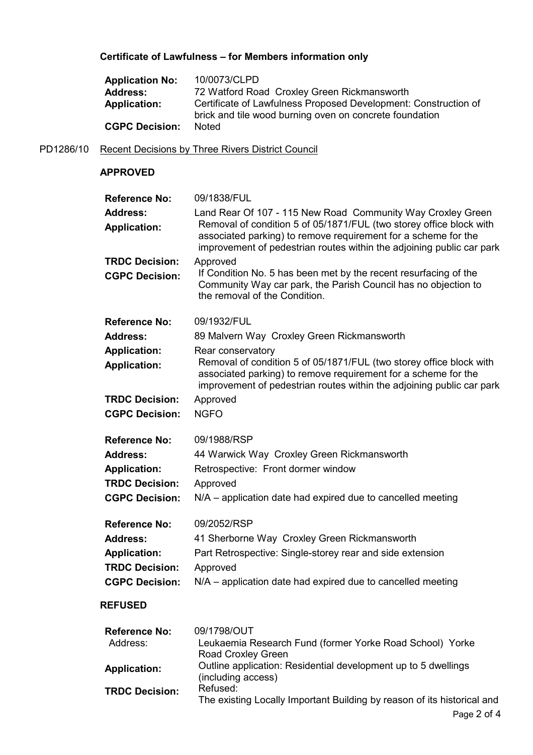## Certificate of Lawfulness – for Members information only

| <b>Application No:</b> | 10/0073/CLPD                                                    |
|------------------------|-----------------------------------------------------------------|
| <b>Address:</b>        | 72 Watford Road Croxley Green Rickmansworth                     |
| <b>Application:</b>    | Certificate of Lawfulness Proposed Development: Construction of |
|                        | brick and tile wood burning oven on concrete foundation         |
| <b>CGPC Decision:</b>  | <b>Noted</b>                                                    |

## PD1286/10 Recent Decisions by Three Rivers District Council

### APPROVED

| <b>Reference No:</b>                                                                                             | 09/1838/FUL                                                                                                                                                                                                                                                                   |
|------------------------------------------------------------------------------------------------------------------|-------------------------------------------------------------------------------------------------------------------------------------------------------------------------------------------------------------------------------------------------------------------------------|
| <b>Address:</b><br><b>Application:</b>                                                                           | Land Rear Of 107 - 115 New Road Community Way Croxley Green<br>Removal of condition 5 of 05/1871/FUL (two storey office block with<br>associated parking) to remove requirement for a scheme for the<br>improvement of pedestrian routes within the adjoining public car park |
| <b>TRDC Decision:</b><br><b>CGPC Decision:</b>                                                                   | Approved<br>If Condition No. 5 has been met by the recent resurfacing of the<br>Community Way car park, the Parish Council has no objection to<br>the removal of the Condition.                                                                                               |
| <b>Reference No:</b>                                                                                             | 09/1932/FUL                                                                                                                                                                                                                                                                   |
| <b>Address:</b>                                                                                                  | 89 Malvern Way Croxley Green Rickmansworth                                                                                                                                                                                                                                    |
| <b>Application:</b><br><b>Application:</b>                                                                       | Rear conservatory<br>Removal of condition 5 of 05/1871/FUL (two storey office block with<br>associated parking) to remove requirement for a scheme for the<br>improvement of pedestrian routes within the adjoining public car park                                           |
| <b>TRDC Decision:</b>                                                                                            | Approved                                                                                                                                                                                                                                                                      |
| <b>CGPC Decision:</b>                                                                                            | <b>NGFO</b>                                                                                                                                                                                                                                                                   |
| <b>Reference No:</b><br><b>Address:</b><br><b>Application:</b><br><b>TRDC Decision:</b><br><b>CGPC Decision:</b> | 09/1988/RSP<br>44 Warwick Way Croxley Green Rickmansworth<br>Retrospective: Front dormer window<br>Approved<br>$N/A$ – application date had expired due to cancelled meeting                                                                                                  |
| <b>Reference No:</b><br><b>Address:</b><br><b>Application:</b><br><b>TRDC Decision:</b><br><b>CGPC Decision:</b> | 09/2052/RSP<br>41 Sherborne Way Croxley Green Rickmansworth<br>Part Retrospective: Single-storey rear and side extension<br>Approved<br>N/A – application date had expired due to cancelled meeting                                                                           |
| <b>REFUSED</b>                                                                                                   |                                                                                                                                                                                                                                                                               |
| <b>Reference No:</b><br>Address:                                                                                 | 09/1798/OUT<br>Leukaemia Research Fund (former Yorke Road School) Yorke                                                                                                                                                                                                       |
| <b>Application:</b>                                                                                              | Road Croxley Green<br>Outline application: Residential development up to 5 dwellings<br>(including access)                                                                                                                                                                    |
| <b>TRDC Decision:</b>                                                                                            | Refused:<br>The existing Locally Important Building by reason of its historical and                                                                                                                                                                                           |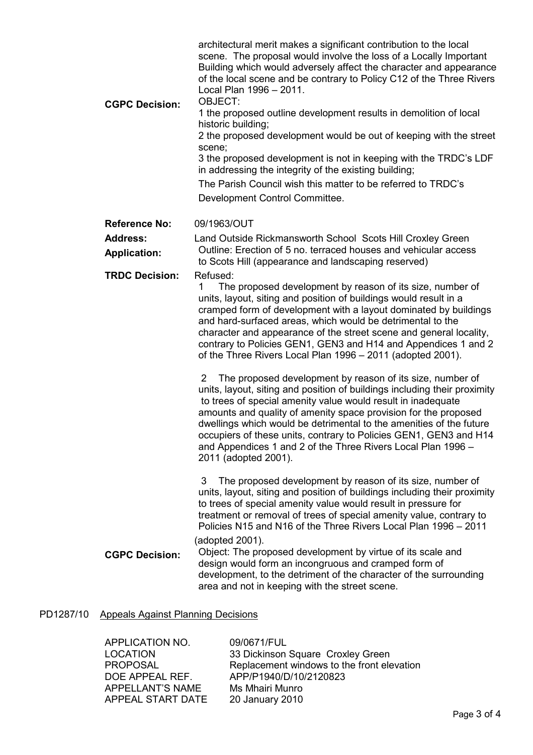| <b>CGPC Decision:</b> | architectural merit makes a significant contribution to the local<br>scene. The proposal would involve the loss of a Locally Important<br>Building which would adversely affect the character and appearance<br>of the local scene and be contrary to Policy C12 of the Three Rivers<br>Local Plan 1996 - 2011.<br>OBJECT:<br>1 the proposed outline development results in demolition of local<br>historic building;<br>2 the proposed development would be out of keeping with the street<br>scene;<br>3 the proposed development is not in keeping with the TRDC's LDF<br>in addressing the integrity of the existing building;<br>The Parish Council wish this matter to be referred to TRDC's<br>Development Control Committee. |
|-----------------------|--------------------------------------------------------------------------------------------------------------------------------------------------------------------------------------------------------------------------------------------------------------------------------------------------------------------------------------------------------------------------------------------------------------------------------------------------------------------------------------------------------------------------------------------------------------------------------------------------------------------------------------------------------------------------------------------------------------------------------------|
| <b>Reference No:</b>  | 09/1963/OUT                                                                                                                                                                                                                                                                                                                                                                                                                                                                                                                                                                                                                                                                                                                          |
| <b>Address:</b>       | Land Outside Rickmansworth School Scots Hill Croxley Green                                                                                                                                                                                                                                                                                                                                                                                                                                                                                                                                                                                                                                                                           |
| <b>Application:</b>   | Outline: Erection of 5 no. terraced houses and vehicular access<br>to Scots Hill (appearance and landscaping reserved)                                                                                                                                                                                                                                                                                                                                                                                                                                                                                                                                                                                                               |
| <b>TRDC Decision:</b> | Refused:<br>The proposed development by reason of its size, number of<br>1<br>units, layout, siting and position of buildings would result in a<br>cramped form of development with a layout dominated by buildings<br>and hard-surfaced areas, which would be detrimental to the<br>character and appearance of the street scene and general locality,<br>contrary to Policies GEN1, GEN3 and H14 and Appendices 1 and 2<br>of the Three Rivers Local Plan 1996 - 2011 (adopted 2001).                                                                                                                                                                                                                                              |
|                       | The proposed development by reason of its size, number of<br>2<br>units, layout, siting and position of buildings including their proximity<br>to trees of special amenity value would result in inadequate<br>amounts and quality of amenity space provision for the proposed<br>dwellings which would be detrimental to the amenities of the future<br>occupiers of these units, contrary to Policies GEN1, GEN3 and H14<br>and Appendices 1 and 2 of the Three Rivers Local Plan 1996 -<br>2011 (adopted 2001).                                                                                                                                                                                                                   |
|                       | The proposed development by reason of its size, number of<br>3<br>units, layout, siting and position of buildings including their proximity<br>to trees of special amenity value would result in pressure for<br>treatment or removal of trees of special amenity value, contrary to<br>Policies N15 and N16 of the Three Rivers Local Plan 1996 - 2011<br>(adopted 2001).                                                                                                                                                                                                                                                                                                                                                           |
| <b>CGPC Decision:</b> | Object: The proposed development by virtue of its scale and<br>design would form an incongruous and cramped form of<br>development, to the detriment of the character of the surrounding<br>area and not in keeping with the street scene.                                                                                                                                                                                                                                                                                                                                                                                                                                                                                           |

## PD1287/10 Appeals Against Planning Decisions

| APPLICATION NO.   | 09/0671/FUL                                |
|-------------------|--------------------------------------------|
| <b>LOCATION</b>   | 33 Dickinson Square Croxley Green          |
| <b>PROPOSAL</b>   | Replacement windows to the front elevation |
| DOE APPEAL REF.   | APP/P1940/D/10/2120823                     |
| APPELLANT'S NAME  | Ms Mhairi Munro                            |
| APPEAL START DATE | 20 January 2010                            |